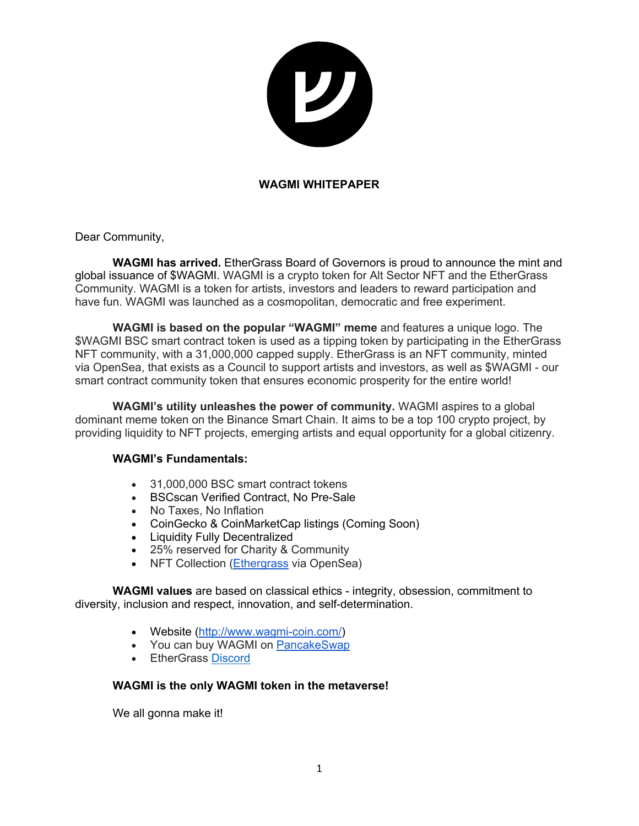

### **WAGMI WHITEPAPER**

Dear Community,

**WAGMI has arrived.** EtherGrass Board of Governors is proud to announce the mint and global issuance of \$WAGMI. WAGMI is a crypto token for Alt Sector NFT and the EtherGrass Community. WAGMI is a token for artists, investors and leaders to reward participation and have fun. WAGMI was launched as a cosmopolitan, democratic and free experiment.

**WAGMI is based on the popular "WAGMI" meme** and features a unique logo. The \$WAGMI BSC smart contract token is used as a tipping token by participating in the EtherGrass NFT community, with a 31,000,000 capped supply. EtherGrass is an NFT community, minted via OpenSea, that exists as a Council to support artists and investors, as well as \$WAGMI - our smart contract community token that ensures economic prosperity for the entire world!

**WAGMI's utility unleashes the power of community.** WAGMI aspires to a global dominant meme token on the Binance Smart Chain. It aims to be a top 100 crypto project, by providing liquidity to NFT projects, emerging artists and equal opportunity for a global citizenry.

#### **WAGMI's Fundamentals:**

- 31,000,000 BSC smart contract tokens
- BSCscan Verified Contract, No Pre-Sale
- No Taxes, No Inflation
- CoinGecko & CoinMarketCap listings (Coming Soon)
- Liquidity Fully Decentralized
- 25% reserved for Charity & Community
- NFT Collection (Ethergrass via OpenSea)

**WAGMI values** are based on classical ethics - integrity, obsession, commitment to diversity, inclusion and respect, innovation, and self-determination.

- Website (http://www.wagmi-coin.com/)
- You can buy WAGMI on PancakeSwap
- EtherGrass Discord

#### **WAGMI is the only WAGMI token in the metaverse!**

We all gonna make it!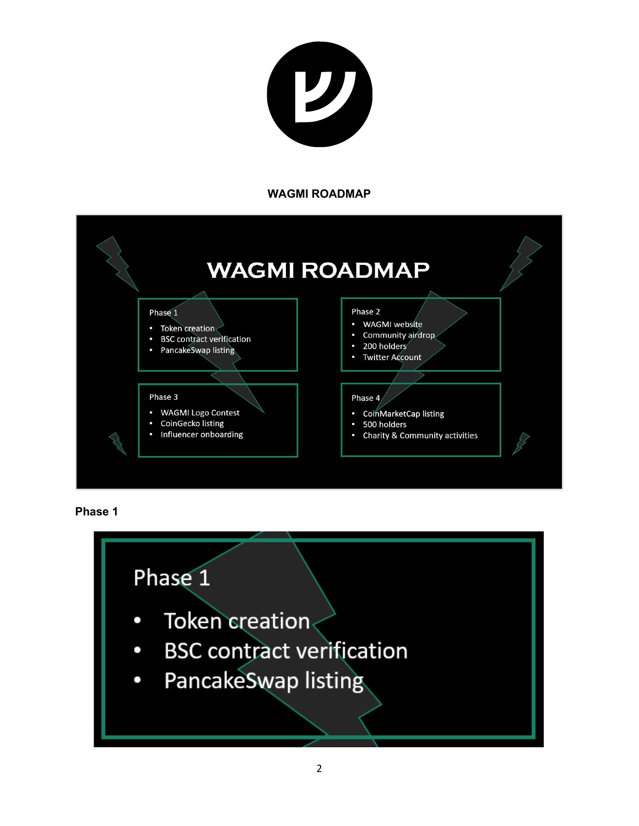

#### **WAGMI ROADMAP**





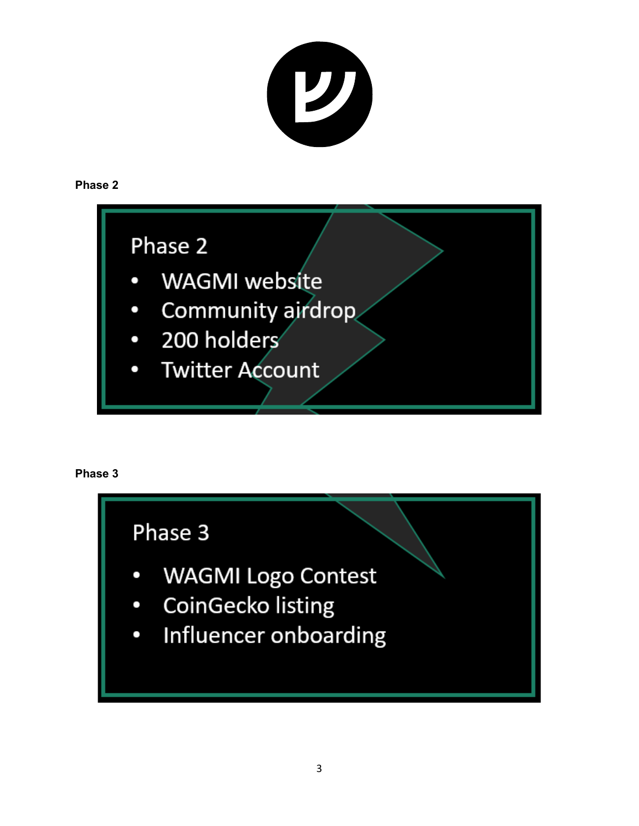

## **Phase 2**

## Phase 2

- WAGMI website
- Community airdrop  $\bullet$
- 200 holders  $\bullet$
- **Twitter Account**

## **Phase 3**

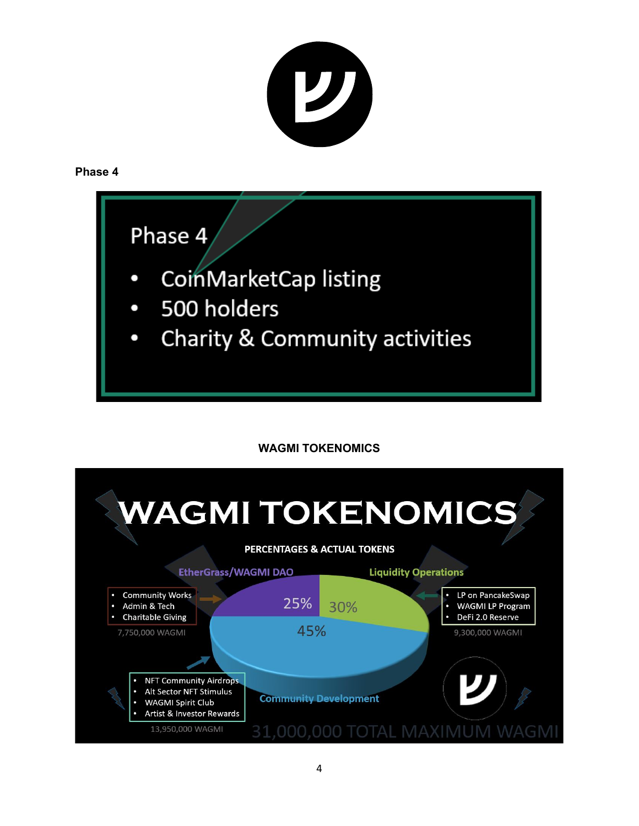

## **Phase 4**

# Phase 4

- CoinMarketCap listing
- 500 holders  $\bullet$
- Charity & Community activities  $\bullet$

## **WAGMI TOKENOMICS**